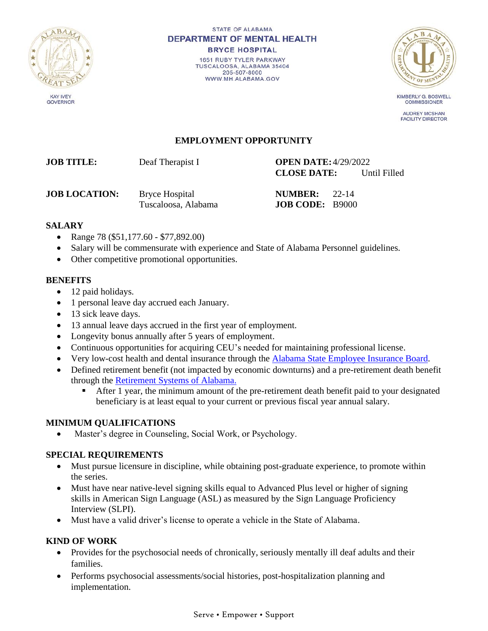

STATE OF ALABAMA **DEPARTMENT OF MENTAL HEALTH BRYCE HOSPITAL** 1651 RUBY TYLER PARKWAY

TUSCALOOSA, ALABAMA 35404 205-507-8000 WWW.MH.ALABAMA.GOV



**KIMBERLY G. BOSWELL COMMISSIONER** 

**AUDREY MCSHAN FACILITY DIRECTOR** 

### **EMPLOYMENT OPPORTUNITY**

# **JOB TITLE:** Deaf Therapist I **OPEN DATE:**4/29/2022

**CLOSE DATE:** Until Filled

**JOB LOCATION:** Bryce Hospital **NUMBER:** 22-14

Tuscaloosa, Alabama **JOB CODE:** B9000

#### **SALARY**

- Range 78 (\$51,177.60 \$77,892.00)
- Salary will be commensurate with experience and State of Alabama Personnel guidelines.
- Other competitive promotional opportunities.

#### **BENEFITS**

- 12 paid holidays.
- 1 personal leave day accrued each January.
- 13 sick leave days.
- 13 annual leave days accrued in the first year of employment.
- Longevity bonus annually after 5 years of employment.
- Continuous opportunities for acquiring CEU's needed for maintaining professional license.
- Very low-cost health and dental insurance through the [Alabama State Employee Insurance Board.](https://www.alseib.org/)
- Defined retirement benefit (not impacted by economic downturns) and a pre-retirement death benefit through the [Retirement Systems of Alabama.](https://www.rsa-al.gov/)
	- After 1 year, the minimum amount of the pre-retirement death benefit paid to your designated beneficiary is at least equal to your current or previous fiscal year annual salary.

# **MINIMUM QUALIFICATIONS**

• Master's degree in Counseling, Social Work, or Psychology.

### **SPECIAL REQUIREMENTS**

- Must pursue licensure in discipline, while obtaining post-graduate experience, to promote within the series.
- Must have near native-level signing skills equal to Advanced Plus level or higher of signing skills in American Sign Language (ASL) as measured by the Sign Language Proficiency Interview (SLPI).
- Must have a valid driver's license to operate a vehicle in the State of Alabama.

### **KIND OF WORK**

- Provides for the psychosocial needs of chronically, seriously mentally ill deaf adults and their families.
- Performs psychosocial assessments/social histories, post-hospitalization planning and implementation.